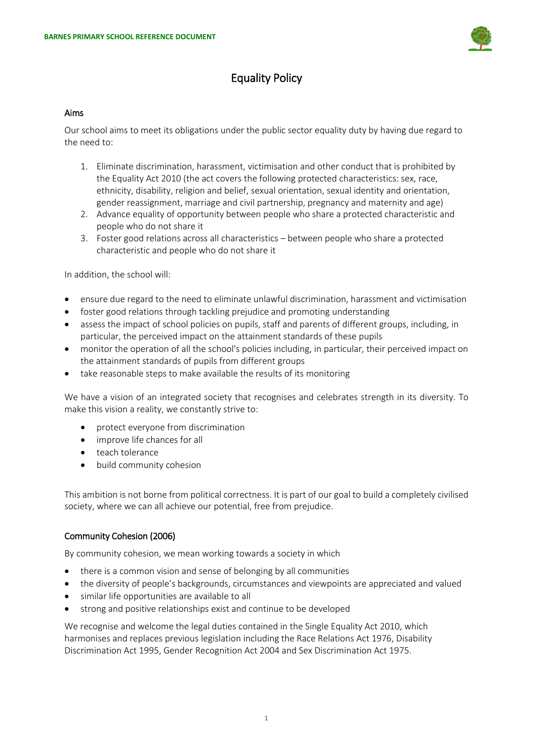

# Equality Policy

### Aims

Our school aims to meet its obligations under the public sector equality duty by having due regard to the need to:

- 1. Eliminate discrimination, harassment, victimisation and other conduct that is prohibited by the Equality Act 2010 (the act covers the following protected characteristics: sex, race, ethnicity, disability, religion and belief, sexual orientation, sexual identity and orientation, gender reassignment, marriage and civil partnership, pregnancy and maternity and age)
- 2. Advance equality of opportunity between people who share a protected characteristic and people who do not share it
- 3. Foster good relations across all characteristics between people who share a protected characteristic and people who do not share it

In addition, the school will:

- ensure due regard to the need to eliminate unlawful discrimination, harassment and victimisation
- foster good relations through tackling prejudice and promoting understanding
- assess the impact of school policies on pupils, staff and parents of different groups, including, in particular, the perceived impact on the attainment standards of these pupils
- monitor the operation of all the school's policies including, in particular, their perceived impact on the attainment standards of pupils from different groups
- take reasonable steps to make available the results of its monitoring

We have a vision of an integrated society that recognises and celebrates strength in its diversity. To make this vision a reality, we constantly strive to:

- protect everyone from discrimination
- improve life chances for all
- teach tolerance
- build community cohesion

This ambition is not borne from political correctness. It is part of our goal to build a completely civilised society, where we can all achieve our potential, free from prejudice.

# Community Cohesion (2006)

By community cohesion, we mean working towards a society in which

- there is a common vision and sense of belonging by all communities
- the diversity of people's backgrounds, circumstances and viewpoints are appreciated and valued
- similar life opportunities are available to all
- strong and positive relationships exist and continue to be developed

We recognise and welcome the legal duties contained in the Single Equality Act 2010, which harmonises and replaces previous legislation including the Race Relations Act 1976, Disability Discrimination Act 1995, Gender Recognition Act 2004 and Sex Discrimination Act 1975.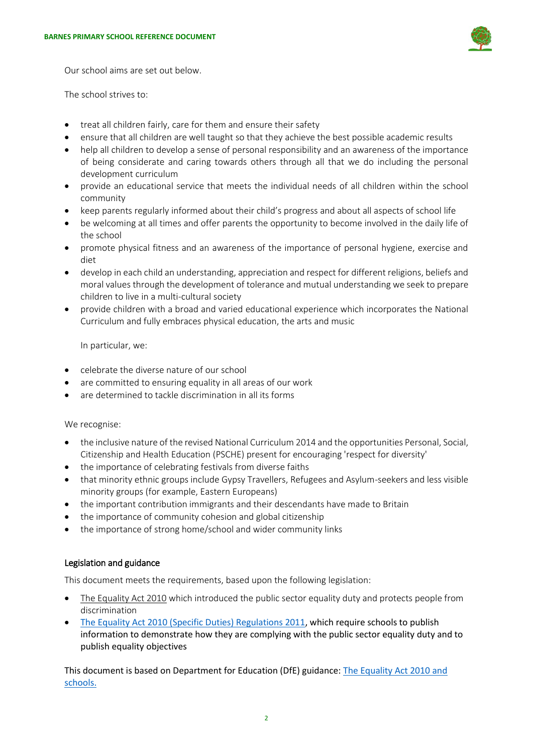

Our school aims are set out below.

The school strives to:

- treat all children fairly, care for them and ensure their safety
- ensure that all children are well taught so that they achieve the best possible academic results
- help all children to develop a sense of personal responsibility and an awareness of the importance of being considerate and caring towards others through all that we do including the personal development curriculum
- provide an educational service that meets the individual needs of all children within the school community
- keep parents regularly informed about their child's progress and about all aspects of school life
- be welcoming at all times and offer parents the opportunity to become involved in the daily life of the school
- promote physical fitness and an awareness of the importance of personal hygiene, exercise and diet
- develop in each child an understanding, appreciation and respect for different religions, beliefs and moral values through the development of tolerance and mutual understanding we seek to prepare children to live in a multi-cultural society
- provide children with a broad and varied educational experience which incorporates the National Curriculum and fully embraces physical education, the arts and music

In particular, we:

- celebrate the diverse nature of our school
- are committed to ensuring equality in all areas of our work
- are determined to tackle discrimination in all its forms

We recognise:

- the inclusive nature of the revised National Curriculum 2014 and the opportunities Personal, Social, Citizenship and Health Education (PSCHE) present for encouraging 'respect for diversity'
- the importance of celebrating festivals from diverse faiths
- that minority ethnic groups include Gypsy Travellers, Refugees and Asylum-seekers and less visible minority groups (for example, Eastern Europeans)
- the important contribution immigrants and their descendants have made to Britain
- the importance of community cohesion and global citizenship
- the importance of strong home/school and wider community links

### Legislation and guidance

This document meets the requirements, based upon the following legislation:

- [The Equality Act 2010](http://www.legislation.gov.uk/ukpga/2010/15/contents) which introduced the public sector equality duty and protects people from discrimination
- The [Equality Act 2010 \(Specific Duties\) Regulations 2011,](http://www.legislation.gov.uk/uksi/2011/2260/contents/made) which require schools to publish information to demonstrate how they are complying with the public sector equality duty and to publish equality objectives

This document is based on Department for Education (DfE) guidance: [The Equality Act 2010 and](https://www.gov.uk/government/uploads/system/uploads/attachment_data/file/315587/Equality_Act_Advice_Final.pdf)  [schools.](https://www.gov.uk/government/uploads/system/uploads/attachment_data/file/315587/Equality_Act_Advice_Final.pdf)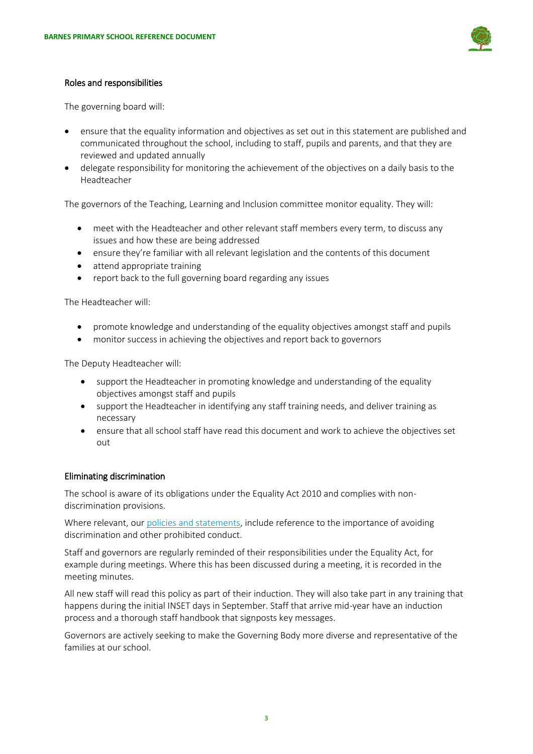

### Roles and responsibilities

The governing board will:

- ensure that the equality information and objectives as set out in this statement are published and communicated throughout the school, including to staff, pupils and parents, and that they are reviewed and updated annually
- delegate responsibility for monitoring the achievement of the objectives on a daily basis to the Headteacher

The governors of the Teaching, Learning and Inclusion committee monitor equality. They will:

- meet with the Headteacher and other relevant staff members every term, to discuss any issues and how these are being addressed
- ensure they're familiar with all relevant legislation and the contents of this document
- attend appropriate training
- report back to the full governing board regarding any issues

The Headteacher will:

- promote knowledge and understanding of the equality objectives amongst staff and pupils
- monitor success in achieving the objectives and report back to governors

The Deputy Headteacher will:

- support the Headteacher in promoting knowledge and understanding of the equality objectives amongst staff and pupils
- support the Headteacher in identifying any staff training needs, and deliver training as necessary
- ensure that all school staff have read this document and work to achieve the objectives set out

### Eliminating discrimination

The school is aware of its obligations under the Equality Act 2010 and complies with nondiscrimination provisions.

Where relevant, our [policies and statements,](https://barnesprimary.sharepoint.com/sites/BarnesDocuments/Shared%20Documents/Forms/AllItems.aspx) include reference to the importance of avoiding discrimination and other prohibited conduct.

Staff and governors are regularly reminded of their responsibilities under the Equality Act, for example during meetings. Where this has been discussed during a meeting, it is recorded in the meeting minutes.

All new staff will read this policy as part of their induction. They will also take part in any training that happens during the initial INSET days in September. Staff that arrive mid-year have an induction process and a thorough staff handbook that signposts key messages.

Governors are actively seeking to make the Governing Body more diverse and representative of the families at our school.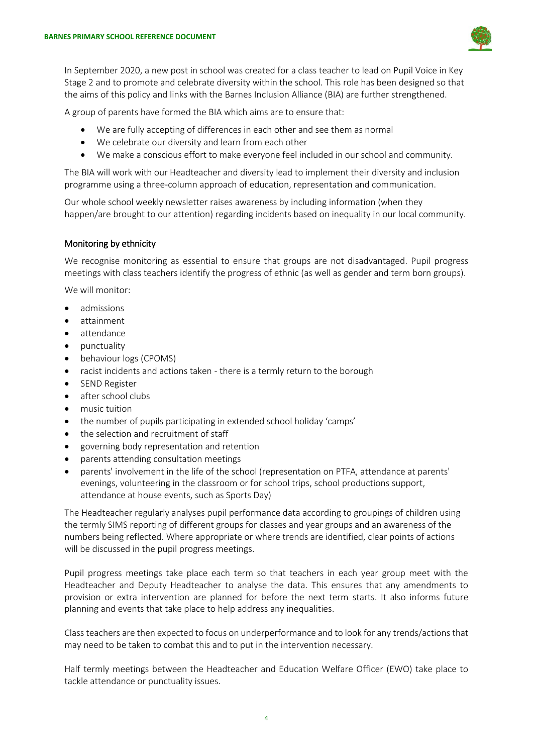

In September 2020, a new post in school was created for a class teacher to lead on Pupil Voice in Key Stage 2 and to promote and celebrate diversity within the school. This role has been designed so that the aims of this policy and links with the Barnes Inclusion Alliance (BIA) are further strengthened.

A group of parents have formed the BIA which aims are to ensure that:

- We are fully accepting of differences in each other and see them as normal
- We celebrate our diversity and learn from each other
- We make a conscious effort to make everyone feel included in our school and community.

The BIA will work with our Headteacher and diversity lead to implement their diversity and inclusion programme using a three-column approach of education, representation and communication.

Our whole school weekly newsletter raises awareness by including information (when they happen/are brought to our attention) regarding incidents based on inequality in our local community.

### Monitoring by ethnicity

We recognise monitoring as essential to ensure that groups are not disadvantaged. Pupil progress meetings with class teachers identify the progress of ethnic (as well as gender and term born groups).

We will monitor:

- admissions
- attainment
- attendance
- punctuality
- behaviour logs (CPOMS)
- racist incidents and actions taken there is a termly return to the borough
- SEND Register
- after school clubs
- music tuition
- the number of pupils participating in extended school holiday 'camps'
- the selection and recruitment of staff
- governing body representation and retention
- parents attending consultation meetings
- parents' involvement in the life of the school (representation on PTFA, attendance at parents' evenings, volunteering in the classroom or for school trips, school productions support, attendance at house events, such as Sports Day)

The Headteacher regularly analyses pupil performance data according to groupings of children using the termly SIMS reporting of different groups for classes and year groups and an awareness of the numbers being reflected. Where appropriate or where trends are identified, clear points of actions will be discussed in the pupil progress meetings.

Pupil progress meetings take place each term so that teachers in each year group meet with the Headteacher and Deputy Headteacher to analyse the data. This ensures that any amendments to provision or extra intervention are planned for before the next term starts. It also informs future planning and events that take place to help address any inequalities.

Class teachers are then expected to focus on underperformance and to look for any trends/actions that may need to be taken to combat this and to put in the intervention necessary.

Half termly meetings between the Headteacher and Education Welfare Officer (EWO) take place to tackle attendance or punctuality issues.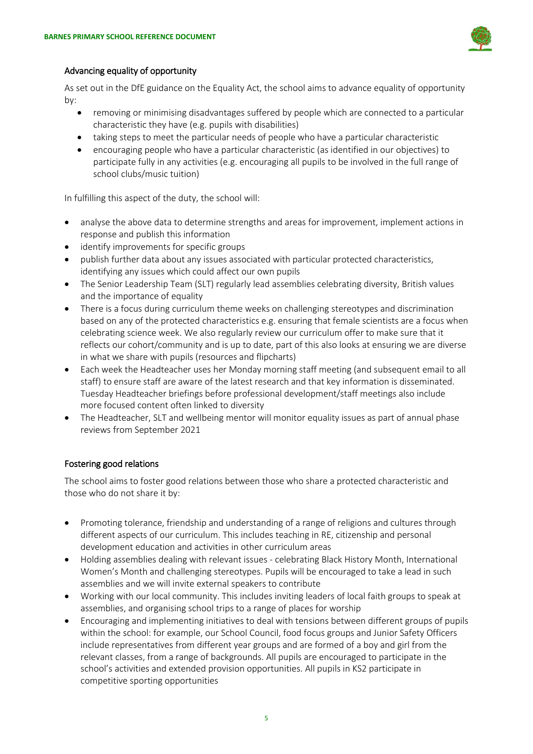

# Advancing equality of opportunity

As set out in the DfE guidance on the Equality Act, the school aims to advance equality of opportunity by:

- removing or minimising disadvantages suffered by people which are connected to a particular characteristic they have (e.g. pupils with disabilities)
- taking steps to meet the particular needs of people who have a particular characteristic
- encouraging people who have a particular characteristic (as identified in our objectives) to participate fully in any activities (e.g. encouraging all pupils to be involved in the full range of school clubs/music tuition)

In fulfilling this aspect of the duty, the school will:

- analyse the above data to determine strengths and areas for improvement, implement actions in response and publish this information
- identify improvements for specific groups
- publish further data about any issues associated with particular protected characteristics, identifying any issues which could affect our own pupils
- The Senior Leadership Team (SLT) regularly lead assemblies celebrating diversity, British values and the importance of equality
- There is a focus during curriculum theme weeks on challenging stereotypes and discrimination based on any of the protected characteristics e.g. ensuring that female scientists are a focus when celebrating science week. We also regularly review our curriculum offer to make sure that it reflects our cohort/community and is up to date, part of this also looks at ensuring we are diverse in what we share with pupils (resources and flipcharts)
- Each week the Headteacher uses her Monday morning staff meeting (and subsequent email to all staff) to ensure staff are aware of the latest research and that key information is disseminated. Tuesday Headteacher briefings before professional development/staff meetings also include more focused content often linked to diversity
- The Headteacher, SLT and wellbeing mentor will monitor equality issues as part of annual phase reviews from September 2021

# Fostering good relations

The school aims to foster good relations between those who share a protected characteristic and those who do not share it by:

- Promoting tolerance, friendship and understanding of a range of religions and cultures through different aspects of our curriculum. This includes teaching in RE, citizenship and personal development education and activities in other curriculum areas
- Holding assemblies dealing with relevant issues celebrating Black History Month, International Women's Month and challenging stereotypes. Pupils will be encouraged to take a lead in such assemblies and we will invite external speakers to contribute
- Working with our local community. This includes inviting leaders of local faith groups to speak at assemblies, and organising school trips to a range of places for worship
- Encouraging and implementing initiatives to deal with tensions between different groups of pupils within the school: for example, our School Council, food focus groups and Junior Safety Officers include representatives from different year groups and are formed of a boy and girl from the relevant classes, from a range of backgrounds. All pupils are encouraged to participate in the school's activities and extended provision opportunities. All pupils in KS2 participate in competitive sporting opportunities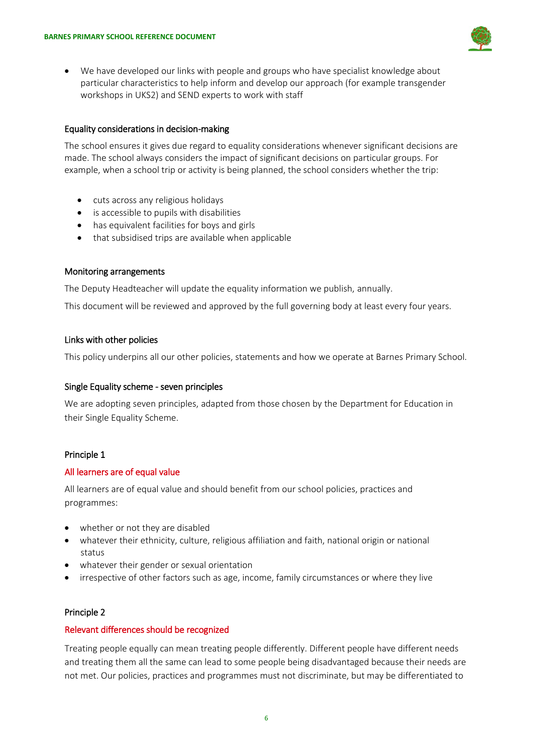

 We have developed our links with people and groups who have specialist knowledge about particular characteristics to help inform and develop our approach (for example transgender workshops in UKS2) and SEND experts to work with staff

### Equality considerations in decision-making

The school ensures it gives due regard to equality considerations whenever significant decisions are made. The school always considers the impact of significant decisions on particular groups. For example, when a school trip or activity is being planned, the school considers whether the trip:

- cuts across any religious holidays
- is accessible to pupils with disabilities
- has equivalent facilities for boys and girls
- that subsidised trips are available when applicable

#### Monitoring arrangements

The Deputy Headteacher will update the equality information we publish, annually.

This document will be reviewed and approved by the full governing body at least every four years.

#### Links with other policies

This policy underpins all our other policies, statements and how we operate at Barnes Primary School.

#### Single Equality scheme - seven principles

We are adopting seven principles, adapted from those chosen by the Department for Education in their Single Equality Scheme.

#### Principle 1

#### All learners are of equal value

All learners are of equal value and should benefit from our school policies, practices and programmes:

- whether or not they are disabled
- whatever their ethnicity, culture, religious affiliation and faith, national origin or national status
- whatever their gender or sexual orientation
- irrespective of other factors such as age, income, family circumstances or where they live

### Principle 2

#### Relevant differences should be recognized

Treating people equally can mean treating people differently. Different people have different needs and treating them all the same can lead to some people being disadvantaged because their needs are not met. Our policies, practices and programmes must not discriminate, but may be differentiated to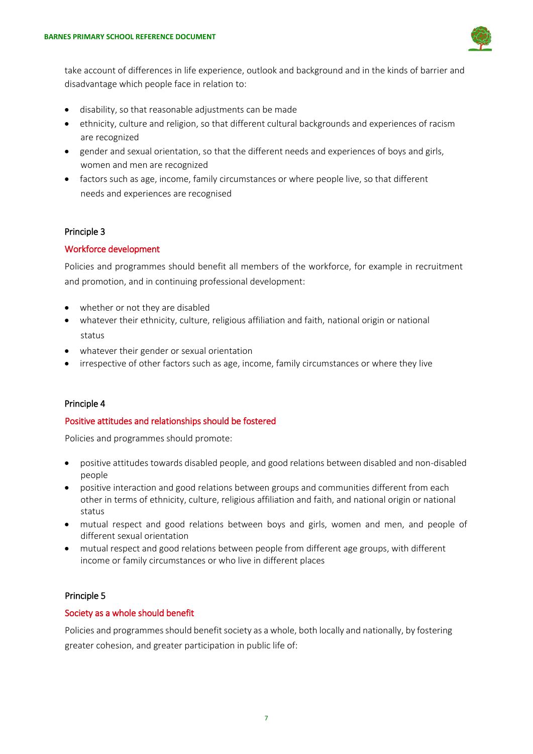

take account of differences in life experience, outlook and background and in the kinds of barrier and disadvantage which people face in relation to:

- disability, so that reasonable adjustments can be made
- ethnicity, culture and religion, so that different cultural backgrounds and experiences of racism are recognized
- gender and sexual orientation, so that the different needs and experiences of boys and girls, women and men are recognized
- factors such as age, income, family circumstances or where people live, so that different needs and experiences are recognised

# Principle 3

# Workforce development

Policies and programmes should benefit all members of the workforce, for example in recruitment and promotion, and in continuing professional development:

- whether or not they are disabled
- whatever their ethnicity, culture, religious affiliation and faith, national origin or national status
- whatever their gender or sexual orientation
- irrespective of other factors such as age, income, family circumstances or where they live

# Principle 4

# Positive attitudes and relationships should be fostered

Policies and programmes should promote:

- positive attitudes towards disabled people, and good relations between disabled and non-disabled people
- positive interaction and good relations between groups and communities different from each other in terms of ethnicity, culture, religious affiliation and faith, and national origin or national status
- mutual respect and good relations between boys and girls, women and men, and people of different sexual orientation
- mutual respect and good relations between people from different age groups, with different income or family circumstances or who live in different places

### Principle 5

### Society as a whole should benefit

Policies and programmes should benefit society as a whole, both locally and nationally, by fostering greater cohesion, and greater participation in public life of: